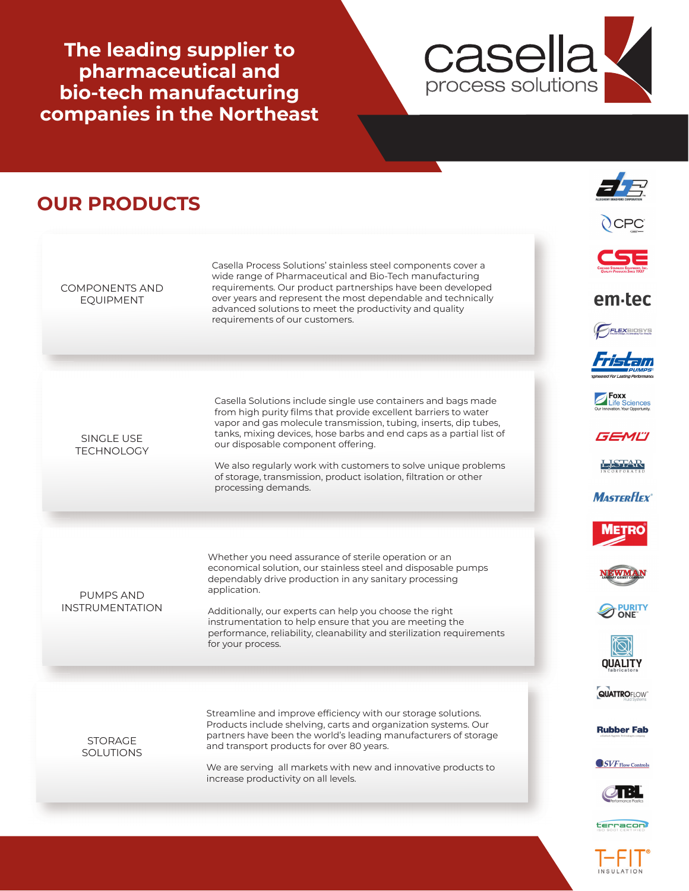**The leading supplier to pharmaceutical and bio-tech manufacturing companies in the Northeast**



## **OUR PRODUCTS** Casella Process Solutions' stainless steel components cover a wide range of Pharmaceutical and Bio-Tech manufacturing COMPONENTS AND requirements. Our product partnerships have been developed over years and represent the most dependable and technically em tec EQUIPMENT advanced solutions to meet the productivity and quality requirements of our customers. FLEXBIOSYS **Foxx**<br>Life Sciences Casella Solutions include single use containers and bags made from high purity films that provide excellent barriers to water vapor and gas molecule transmission, tubing, inserts, dip tubes, tanks, mixing devices, hose barbs and end caps as a partial list of GEMĽI SINGLE USE our disposable component offering. **TECHNOLOGY** LSTAR We also regularly work with customers to solve unique problems of storage, transmission, product isolation, filtration or other processing demands.**MASTERFLEX** Whether you need assurance of sterile operation or an economical solution, our stainless steel and disposable pumps dependably drive production in any sanitary processing application. PUMPS AND INSTRUMENTATION **PURITY** Additionally, our experts can help you choose the right instrumentation to help ensure that you are meeting the performance, reliability, cleanability and sterilization requirements for your process. **QUALITY QUATTROFLOW** Streamline and improve efficiency with our storage solutions. Products include shelving, carts and organization systems. Our **Rubber Fab** partners have been the world's leading manufacturers of storage **STORAGE** and transport products for over 80 years. **SOLUTIONS**  $\bigcirc$  SVF Flow Controls We are serving all markets with new and innovative products to increase productivity on all levels. 2 B L

terracon